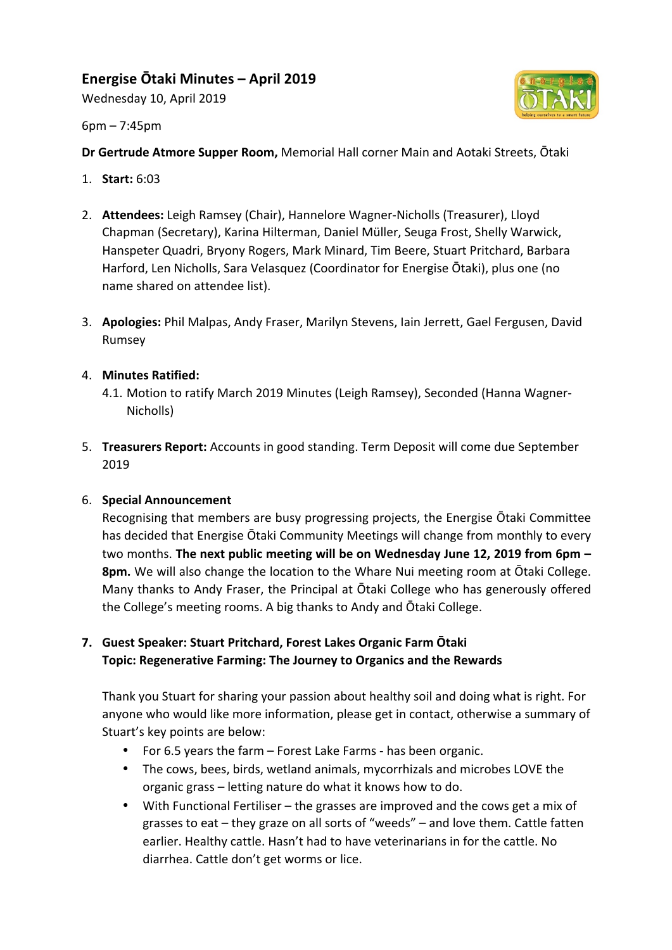# **Energise Ōtaki Minutes – April 2019**

Wednesday 10, April 2019



 $6pm - 7:45pm$ 

**Dr Gertrude Atmore Supper Room,** Memorial Hall corner Main and Aotaki Streets, Otaki

- 1. **Start:** 6:03
- 2. **Attendees:** Leigh Ramsey (Chair), Hannelore Wagner-Nicholls (Treasurer), Lloyd Chapman (Secretary), Karina Hilterman, Daniel Müller, Seuga Frost, Shelly Warwick, Hanspeter Quadri, Bryony Rogers, Mark Minard, Tim Beere, Stuart Pritchard, Barbara Harford, Len Nicholls, Sara Velasquez (Coordinator for Energise Ōtaki), plus one (no name shared on attendee list).
- 3. **Apologies:** Phil Malpas, Andy Fraser, Marilyn Stevens, Iain Jerrett, Gael Fergusen, David Rumsey
- 4. **Minutes Ratified:**
	- 4.1. Motion to ratify March 2019 Minutes (Leigh Ramsey), Seconded (Hanna Wagner-Nicholls)
- 5. **Treasurers Report:** Accounts in good standing. Term Deposit will come due September 2019

#### 6. **Special Announcement**

Recognising that members are busy progressing projects, the Energise Otaki Committee has decided that Energise Otaki Community Meetings will change from monthly to every two months. The next public meeting will be on Wednesday June 12, 2019 from 6pm -**8pm.** We will also change the location to the Whare Nui meeting room at Otaki College. Many thanks to Andy Fraser, the Principal at Otaki College who has generously offered the College's meeting rooms. A big thanks to Andy and Otaki College.

# **7. Guest Speaker: Stuart Pritchard, Forest Lakes Organic Farm Otaki Topic: Regenerative Farming: The Journey to Organics and the Rewards**

Thank you Stuart for sharing your passion about healthy soil and doing what is right. For anyone who would like more information, please get in contact, otherwise a summary of Stuart's key points are below:

- For 6.5 years the farm  $-$  Forest Lake Farms has been organic.
- The cows, bees, birds, wetland animals, mycorrhizals and microbes LOVE the organic grass – letting nature do what it knows how to do.
- With Functional Fertiliser the grasses are improved and the cows get a mix of grasses to eat  $-$  they graze on all sorts of "weeds"  $-$  and love them. Cattle fatten earlier. Healthy cattle. Hasn't had to have veterinarians in for the cattle. No diarrhea. Cattle don't get worms or lice.